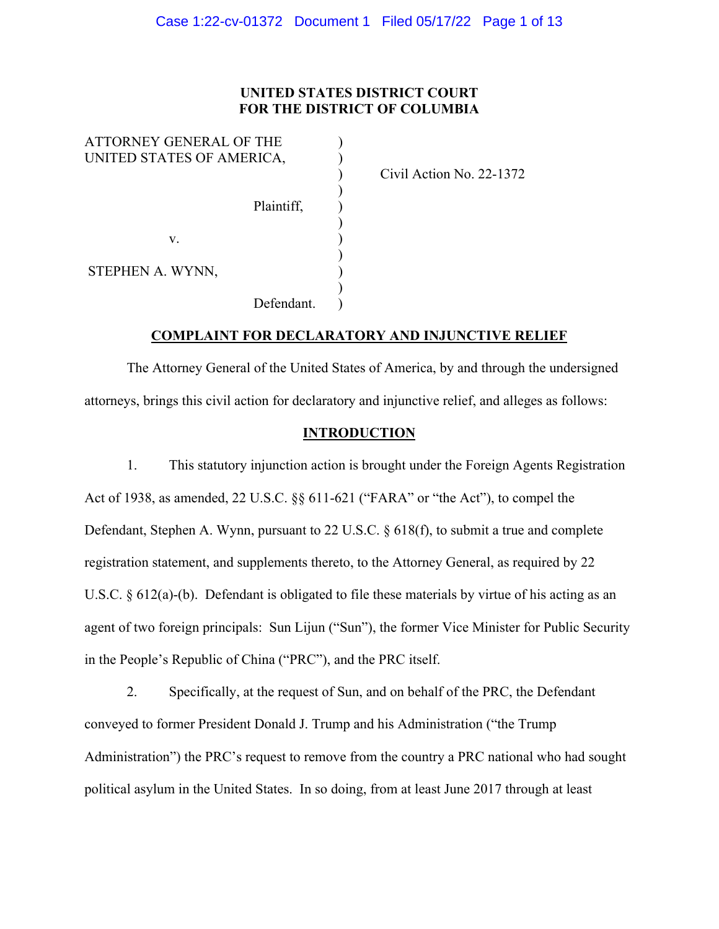# **UNITED STATES DISTRICT COURT FOR THE DISTRICT OF COLUMBIA**

| ATTORNEY GENERAL OF THE   |  |
|---------------------------|--|
| UNITED STATES OF AMERICA, |  |
|                           |  |
|                           |  |
| Plaintiff,                |  |
|                           |  |
| V.                        |  |
|                           |  |
| STEPHEN A. WYNN,          |  |
|                           |  |
| Defendant.                |  |

) Civil Action No. 22-1372

# **COMPLAINT FOR DECLARATORY AND INJUNCTIVE RELIEF**

 The Attorney General of the United States of America, by and through the undersigned attorneys, brings this civil action for declaratory and injunctive relief, and alleges as follows:

# **INTRODUCTION**

1. This statutory injunction action is brought under the Foreign Agents Registration Act of 1938, as amended, 22 U.S.C. §§ 611-621 ("FARA" or "the Act"), to compel the Defendant, Stephen A. Wynn, pursuant to 22 U.S.C. § 618(f), to submit a true and complete registration statement, and supplements thereto, to the Attorney General, as required by 22 U.S.C. § 612(a)-(b). Defendant is obligated to file these materials by virtue of his acting as an agent of two foreign principals: Sun Lijun ("Sun"), the former Vice Minister for Public Security in the People's Republic of China ("PRC"), and the PRC itself.

2. Specifically, at the request of Sun, and on behalf of the PRC, the Defendant conveyed to former President Donald J. Trump and his Administration ("the Trump Administration") the PRC's request to remove from the country a PRC national who had sought political asylum in the United States. In so doing, from at least June 2017 through at least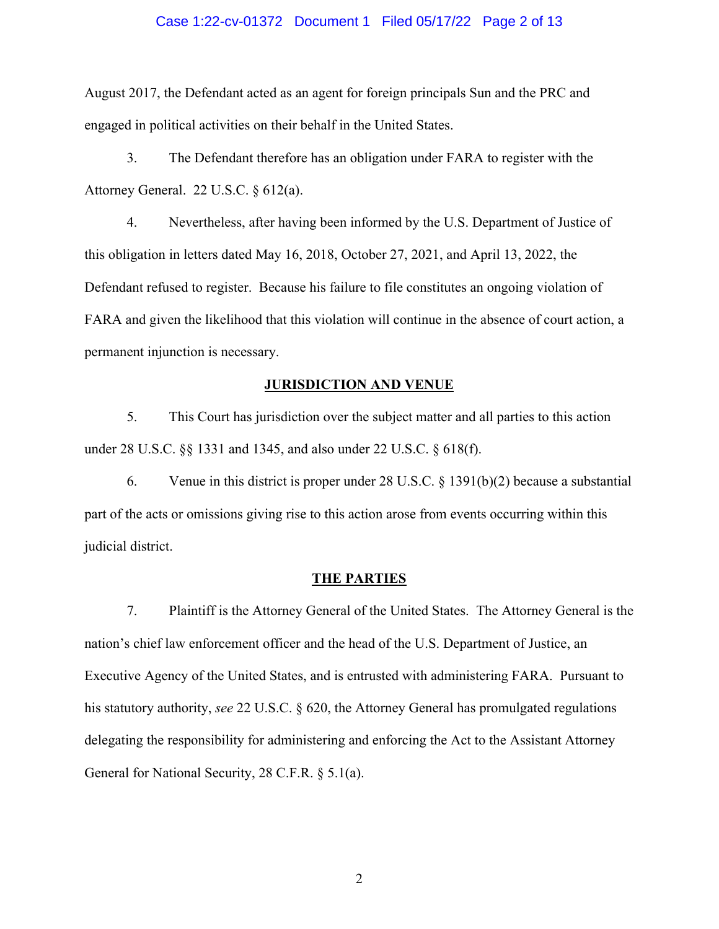#### Case 1:22-cv-01372 Document 1 Filed 05/17/22 Page 2 of 13

August 2017, the Defendant acted as an agent for foreign principals Sun and the PRC and engaged in political activities on their behalf in the United States.

3. The Defendant therefore has an obligation under FARA to register with the Attorney General. 22 U.S.C. § 612(a).

4. Nevertheless, after having been informed by the U.S. Department of Justice of this obligation in letters dated May 16, 2018, October 27, 2021, and April 13, 2022, the Defendant refused to register. Because his failure to file constitutes an ongoing violation of FARA and given the likelihood that this violation will continue in the absence of court action, a permanent injunction is necessary.

#### **JURISDICTION AND VENUE**

5. This Court has jurisdiction over the subject matter and all parties to this action under 28 U.S.C. §§ 1331 and 1345, and also under 22 U.S.C. § 618(f).

6. Venue in this district is proper under 28 U.S.C. § 1391(b)(2) because a substantial part of the acts or omissions giving rise to this action arose from events occurring within this judicial district.

#### **THE PARTIES**

7. Plaintiff is the Attorney General of the United States. The Attorney General is the nation's chief law enforcement officer and the head of the U.S. Department of Justice, an Executive Agency of the United States, and is entrusted with administering FARA. Pursuant to his statutory authority, *see* 22 U.S.C. § 620, the Attorney General has promulgated regulations delegating the responsibility for administering and enforcing the Act to the Assistant Attorney General for National Security, 28 C.F.R. § 5.1(a).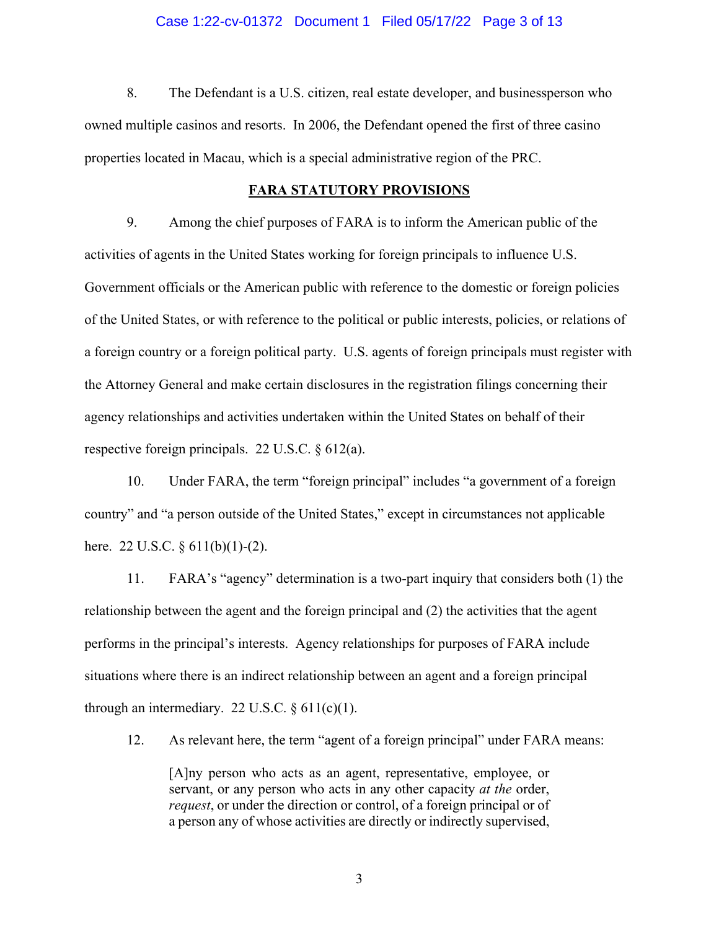#### Case 1:22-cv-01372 Document 1 Filed 05/17/22 Page 3 of 13

8. The Defendant is a U.S. citizen, real estate developer, and businessperson who owned multiple casinos and resorts. In 2006, the Defendant opened the first of three casino properties located in Macau, which is a special administrative region of the PRC.

#### **FARA STATUTORY PROVISIONS**

9. Among the chief purposes of FARA is to inform the American public of the activities of agents in the United States working for foreign principals to influence U.S. Government officials or the American public with reference to the domestic or foreign policies of the United States, or with reference to the political or public interests, policies, or relations of a foreign country or a foreign political party. U.S. agents of foreign principals must register with the Attorney General and make certain disclosures in the registration filings concerning their agency relationships and activities undertaken within the United States on behalf of their respective foreign principals. 22 U.S.C. § 612(a).

10. Under FARA, the term "foreign principal" includes "a government of a foreign country" and "a person outside of the United States," except in circumstances not applicable here. 22 U.S.C. § 611(b)(1)-(2).

11. FARA's "agency" determination is a two-part inquiry that considers both (1) the relationship between the agent and the foreign principal and (2) the activities that the agent performs in the principal's interests. Agency relationships for purposes of FARA include situations where there is an indirect relationship between an agent and a foreign principal through an intermediary. 22 U.S.C.  $\S 611(c)(1)$ .

12. As relevant here, the term "agent of a foreign principal" under FARA means:

[A]ny person who acts as an agent, representative, employee, or servant, or any person who acts in any other capacity *at the* order, *request*, or under the direction or control, of a foreign principal or of a person any of whose activities are directly or indirectly supervised,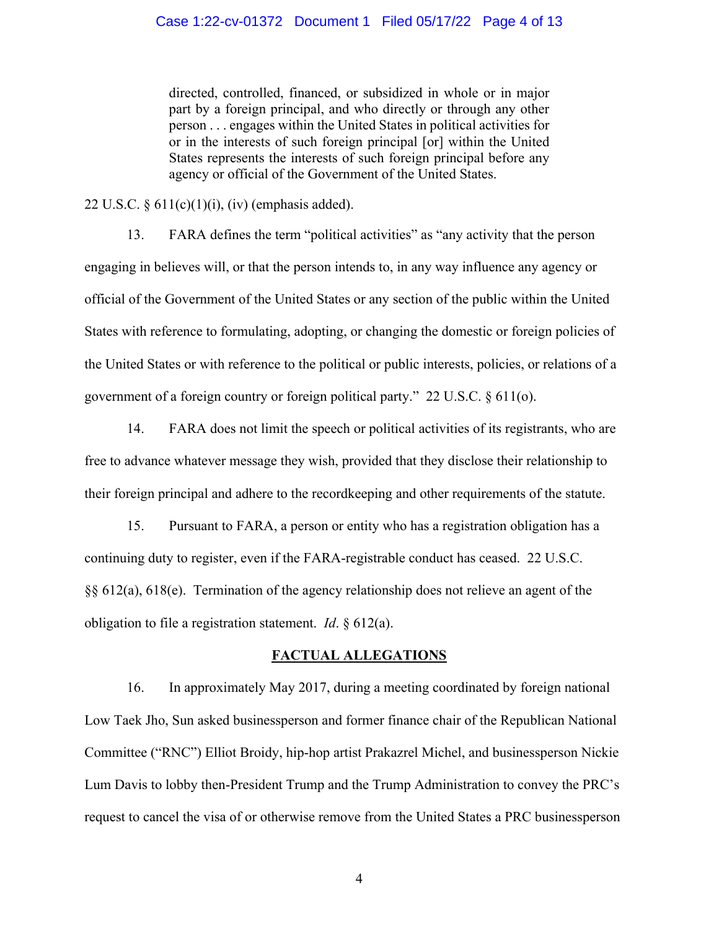directed, controlled, financed, or subsidized in whole or in major part by a foreign principal, and who directly or through any other person . . . engages within the United States in political activities for or in the interests of such foreign principal [or] within the United States represents the interests of such foreign principal before any agency or official of the Government of the United States.

22 U.S.C.  $\S 611(c)(1)(i)$ , (iv) (emphasis added).

13. FARA defines the term "political activities" as "any activity that the person engaging in believes will, or that the person intends to, in any way influence any agency or official of the Government of the United States or any section of the public within the United States with reference to formulating, adopting, or changing the domestic or foreign policies of the United States or with reference to the political or public interests, policies, or relations of a government of a foreign country or foreign political party." 22 U.S.C. § 611(o).

14. FARA does not limit the speech or political activities of its registrants, who are free to advance whatever message they wish, provided that they disclose their relationship to their foreign principal and adhere to the recordkeeping and other requirements of the statute.

15. Pursuant to FARA, a person or entity who has a registration obligation has a continuing duty to register, even if the FARA-registrable conduct has ceased. 22 U.S.C. §§ 612(a), 618(e). Termination of the agency relationship does not relieve an agent of the obligation to file a registration statement. *Id*. § 612(a).

# **FACTUAL ALLEGATIONS**

16. In approximately May 2017, during a meeting coordinated by foreign national Low Taek Jho, Sun asked businessperson and former finance chair of the Republican National Committee ("RNC") Elliot Broidy, hip-hop artist Prakazrel Michel, and businessperson Nickie Lum Davis to lobby then-President Trump and the Trump Administration to convey the PRC's request to cancel the visa of or otherwise remove from the United States a PRC businessperson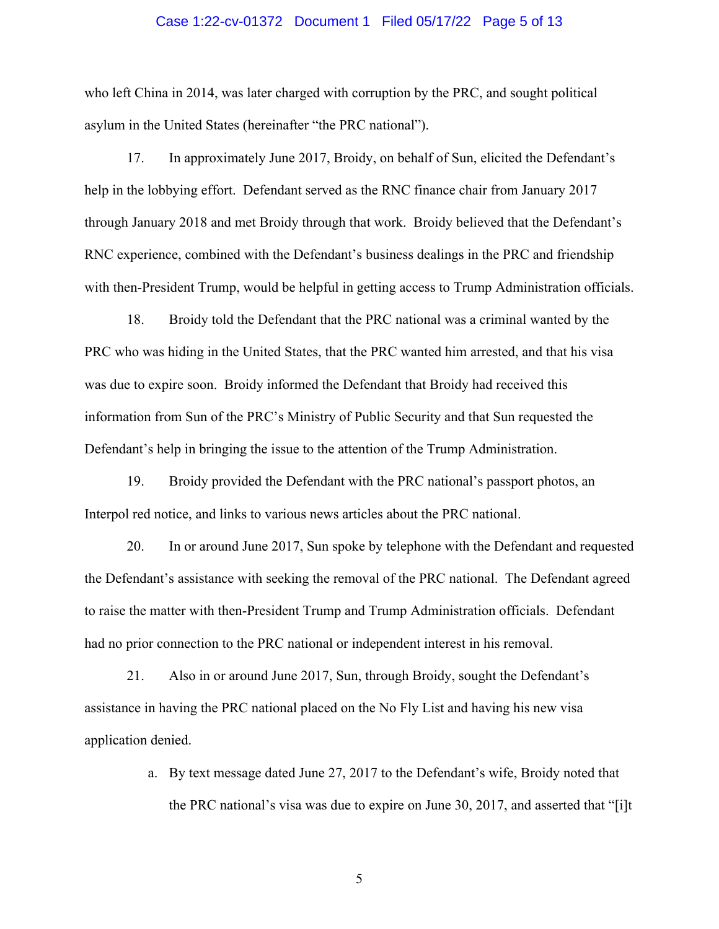#### Case 1:22-cv-01372 Document 1 Filed 05/17/22 Page 5 of 13

who left China in 2014, was later charged with corruption by the PRC, and sought political asylum in the United States (hereinafter "the PRC national").

17. In approximately June 2017, Broidy, on behalf of Sun, elicited the Defendant's help in the lobbying effort. Defendant served as the RNC finance chair from January 2017 through January 2018 and met Broidy through that work. Broidy believed that the Defendant's RNC experience, combined with the Defendant's business dealings in the PRC and friendship with then-President Trump, would be helpful in getting access to Trump Administration officials.

18. Broidy told the Defendant that the PRC national was a criminal wanted by the PRC who was hiding in the United States, that the PRC wanted him arrested, and that his visa was due to expire soon. Broidy informed the Defendant that Broidy had received this information from Sun of the PRC's Ministry of Public Security and that Sun requested the Defendant's help in bringing the issue to the attention of the Trump Administration.

19. Broidy provided the Defendant with the PRC national's passport photos, an Interpol red notice, and links to various news articles about the PRC national.

20. In or around June 2017, Sun spoke by telephone with the Defendant and requested the Defendant's assistance with seeking the removal of the PRC national. The Defendant agreed to raise the matter with then-President Trump and Trump Administration officials. Defendant had no prior connection to the PRC national or independent interest in his removal.

21. Also in or around June 2017, Sun, through Broidy, sought the Defendant's assistance in having the PRC national placed on the No Fly List and having his new visa application denied.

> a. By text message dated June 27, 2017 to the Defendant's wife, Broidy noted that the PRC national's visa was due to expire on June 30, 2017, and asserted that "[i]t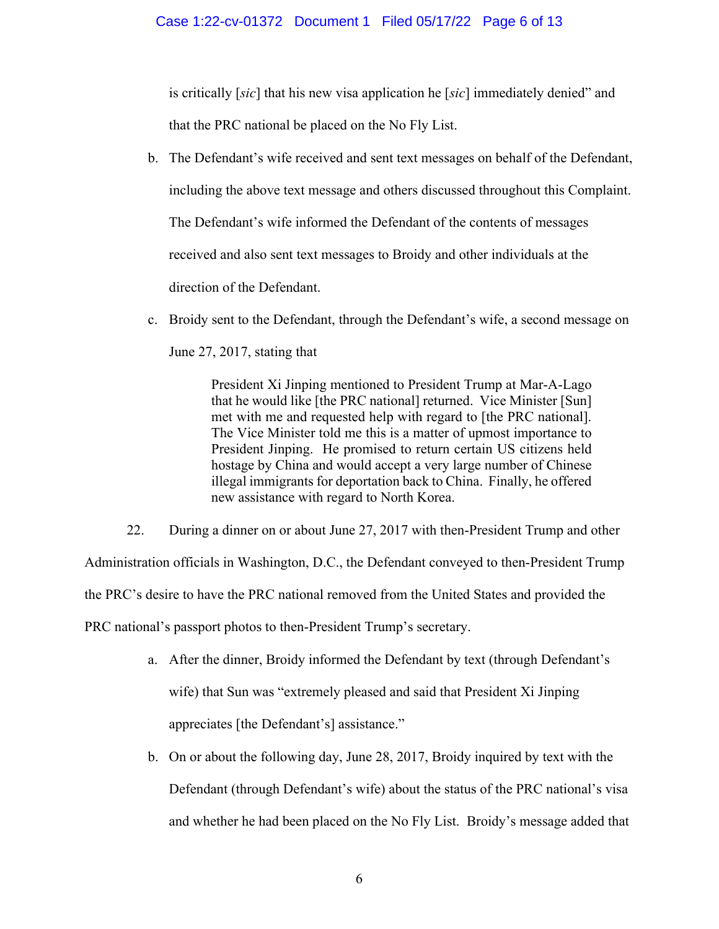is critically [*sic*] that his new visa application he [*sic*] immediately denied" and that the PRC national be placed on the No Fly List.

- b. The Defendant's wife received and sent text messages on behalf of the Defendant, including the above text message and others discussed throughout this Complaint. The Defendant's wife informed the Defendant of the contents of messages received and also sent text messages to Broidy and other individuals at the direction of the Defendant.
- c. Broidy sent to the Defendant, through the Defendant's wife, a second message on

June 27, 2017, stating that

President Xi Jinping mentioned to President Trump at Mar-A-Lago that he would like [the PRC national] returned. Vice Minister [Sun] met with me and requested help with regard to [the PRC national]. The Vice Minister told me this is a matter of upmost importance to President Jinping. He promised to return certain US citizens held hostage by China and would accept a very large number of Chinese illegal immigrants for deportation back to China. Finally, he offered new assistance with regard to North Korea.

22. During a dinner on or about June 27, 2017 with then-President Trump and other Administration officials in Washington, D.C., the Defendant conveyed to then-President Trump the PRC's desire to have the PRC national removed from the United States and provided the PRC national's passport photos to then-President Trump's secretary.

- a. After the dinner, Broidy informed the Defendant by text (through Defendant's wife) that Sun was "extremely pleased and said that President Xi Jinping appreciates [the Defendant's] assistance."
- b. On or about the following day, June 28, 2017, Broidy inquired by text with the Defendant (through Defendant's wife) about the status of the PRC national's visa and whether he had been placed on the No Fly List. Broidy's message added that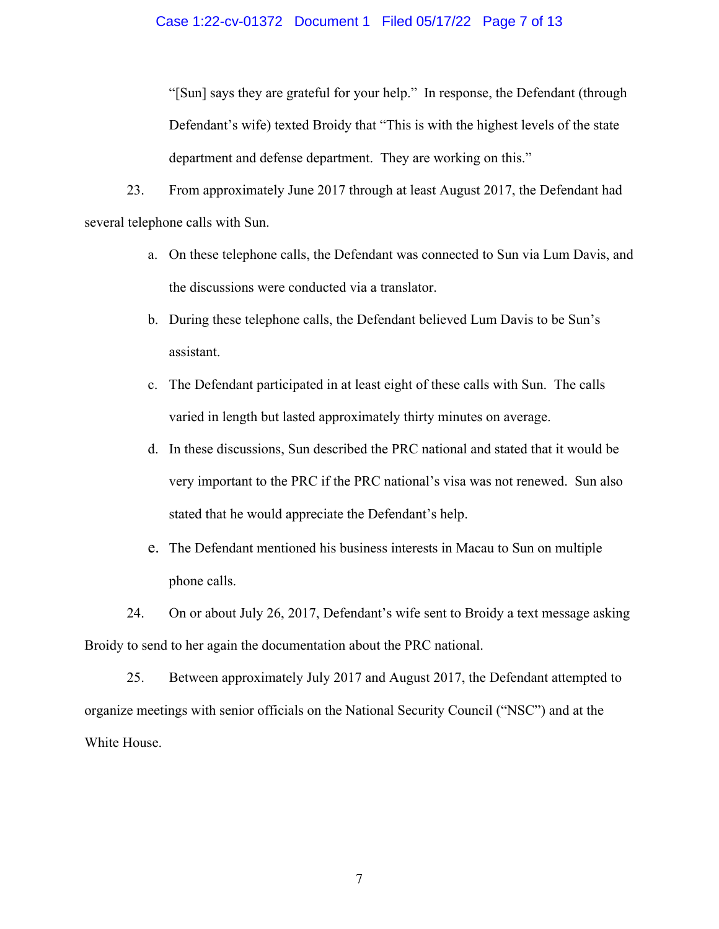#### Case 1:22-cv-01372 Document 1 Filed 05/17/22 Page 7 of 13

"[Sun] says they are grateful for your help." In response, the Defendant (through Defendant's wife) texted Broidy that "This is with the highest levels of the state department and defense department. They are working on this."

23. From approximately June 2017 through at least August 2017, the Defendant had several telephone calls with Sun.

- a. On these telephone calls, the Defendant was connected to Sun via Lum Davis, and the discussions were conducted via a translator.
- b. During these telephone calls, the Defendant believed Lum Davis to be Sun's assistant.
- c. The Defendant participated in at least eight of these calls with Sun. The calls varied in length but lasted approximately thirty minutes on average.
- d. In these discussions, Sun described the PRC national and stated that it would be very important to the PRC if the PRC national's visa was not renewed. Sun also stated that he would appreciate the Defendant's help.
- e. The Defendant mentioned his business interests in Macau to Sun on multiple phone calls.
- 24. On or about July 26, 2017, Defendant's wife sent to Broidy a text message asking Broidy to send to her again the documentation about the PRC national.

25. Between approximately July 2017 and August 2017, the Defendant attempted to organize meetings with senior officials on the National Security Council ("NSC") and at the White House.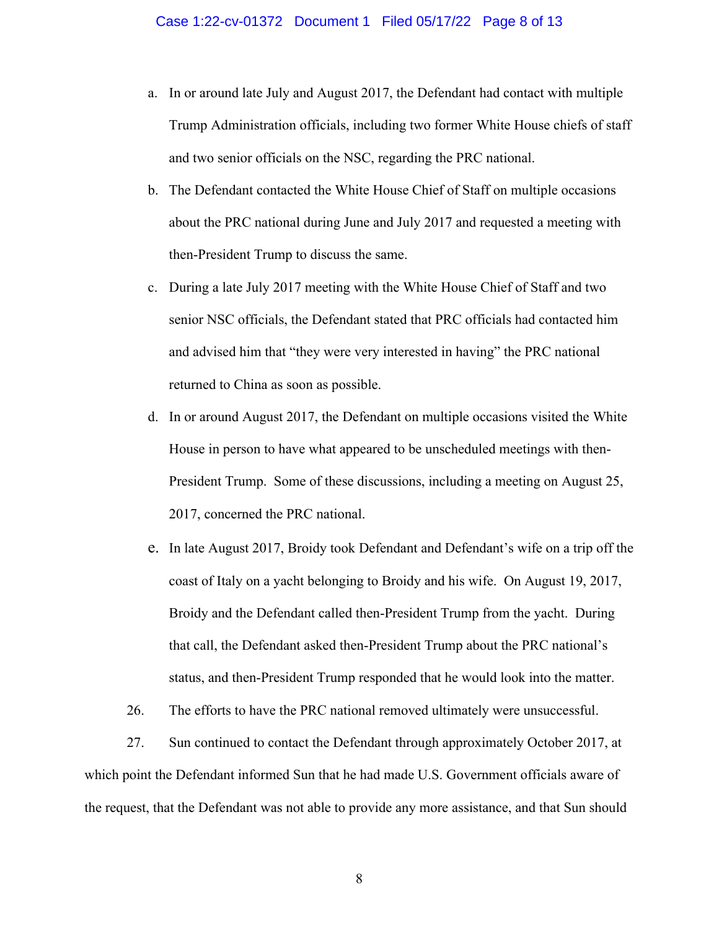- a. In or around late July and August 2017, the Defendant had contact with multiple Trump Administration officials, including two former White House chiefs of staff and two senior officials on the NSC, regarding the PRC national.
- b. The Defendant contacted the White House Chief of Staff on multiple occasions about the PRC national during June and July 2017 and requested a meeting with then-President Trump to discuss the same.
- c. During a late July 2017 meeting with the White House Chief of Staff and two senior NSC officials, the Defendant stated that PRC officials had contacted him and advised him that "they were very interested in having" the PRC national returned to China as soon as possible.
- d. In or around August 2017, the Defendant on multiple occasions visited the White House in person to have what appeared to be unscheduled meetings with then-President Trump. Some of these discussions, including a meeting on August 25, 2017, concerned the PRC national.
- e. In late August 2017, Broidy took Defendant and Defendant's wife on a trip off the coast of Italy on a yacht belonging to Broidy and his wife. On August 19, 2017, Broidy and the Defendant called then-President Trump from the yacht. During that call, the Defendant asked then-President Trump about the PRC national's status, and then-President Trump responded that he would look into the matter.
- 26. The efforts to have the PRC national removed ultimately were unsuccessful.

27. Sun continued to contact the Defendant through approximately October 2017, at which point the Defendant informed Sun that he had made U.S. Government officials aware of the request, that the Defendant was not able to provide any more assistance, and that Sun should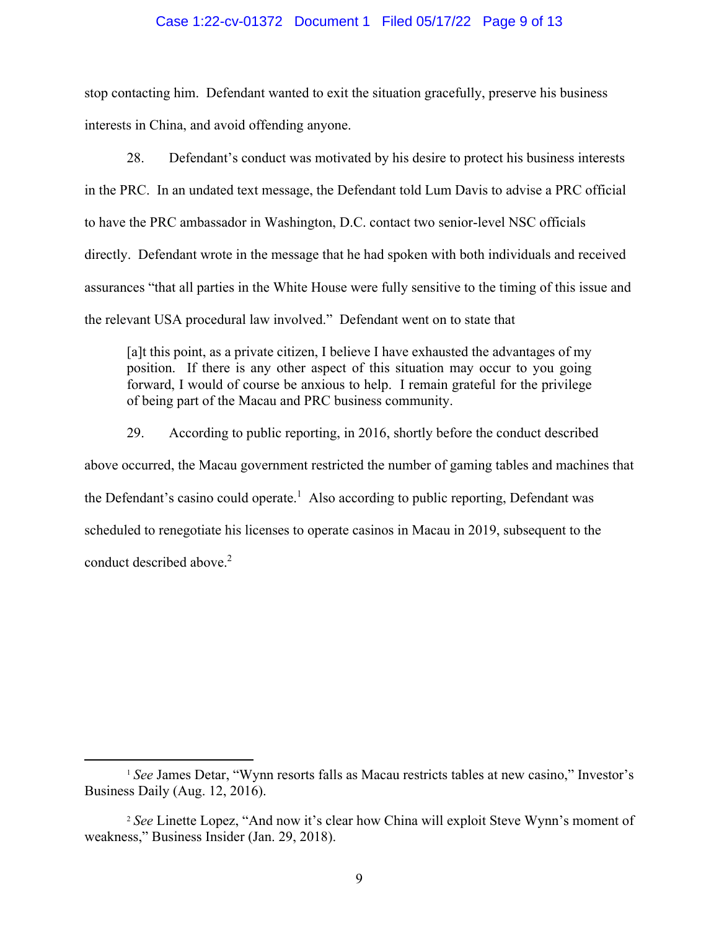#### Case 1:22-cv-01372 Document 1 Filed 05/17/22 Page 9 of 13

stop contacting him. Defendant wanted to exit the situation gracefully, preserve his business interests in China, and avoid offending anyone.

28. Defendant's conduct was motivated by his desire to protect his business interests in the PRC. In an undated text message, the Defendant told Lum Davis to advise a PRC official to have the PRC ambassador in Washington, D.C. contact two senior-level NSC officials directly. Defendant wrote in the message that he had spoken with both individuals and received assurances "that all parties in the White House were fully sensitive to the timing of this issue and the relevant USA procedural law involved." Defendant went on to state that

[a]t this point, as a private citizen, I believe I have exhausted the advantages of my position. If there is any other aspect of this situation may occur to you going forward, I would of course be anxious to help. I remain grateful for the privilege of being part of the Macau and PRC business community.

29. According to public reporting, in 2016, shortly before the conduct described above occurred, the Macau government restricted the number of gaming tables and machines that the Defendant's casino could operate.<sup>1</sup> Also according to public reporting, Defendant was scheduled to renegotiate his licenses to operate casinos in Macau in 2019, subsequent to the conduct described above.<sup>2</sup>

<sup>&</sup>lt;sup>1</sup> See James Detar, "Wynn resorts falls as Macau restricts tables at new casino," Investor's Business Daily (Aug. 12, 2016).

<sup>2</sup> *See* Linette Lopez, "And now it's clear how China will exploit Steve Wynn's moment of weakness," Business Insider (Jan. 29, 2018).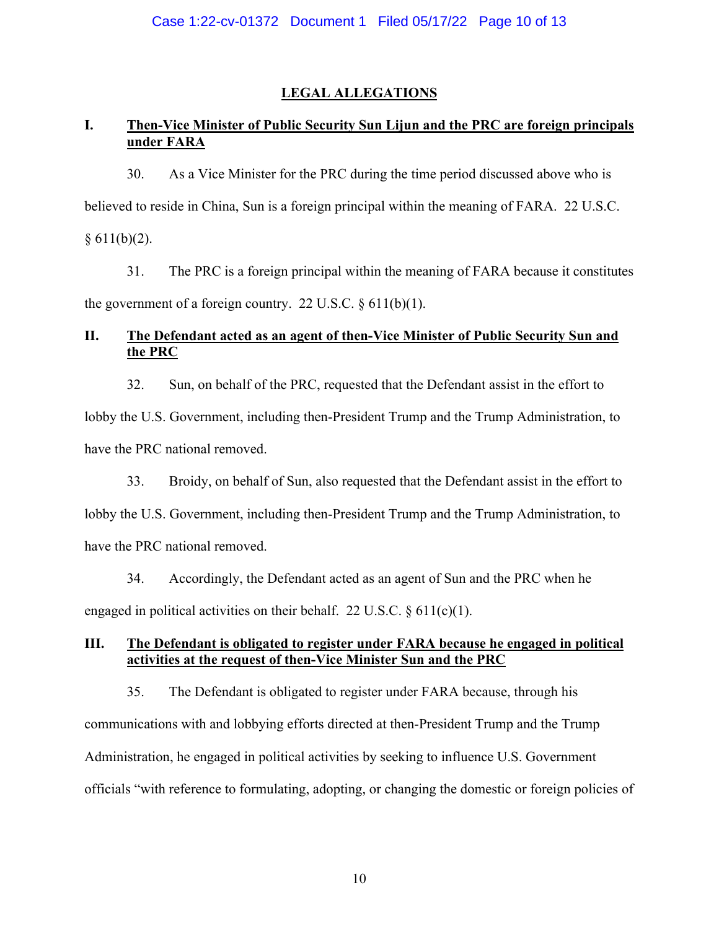# **LEGAL ALLEGATIONS**

# **I. Then-Vice Minister of Public Security Sun Lijun and the PRC are foreign principals under FARA**

30. As a Vice Minister for the PRC during the time period discussed above who is believed to reside in China, Sun is a foreign principal within the meaning of FARA. 22 U.S.C.  $§ 611(b)(2).$ 

31. The PRC is a foreign principal within the meaning of FARA because it constitutes the government of a foreign country. 22 U.S.C.  $\S 611(b)(1)$ .

# **II. The Defendant acted as an agent of then-Vice Minister of Public Security Sun and the PRC**

32. Sun, on behalf of the PRC, requested that the Defendant assist in the effort to

lobby the U.S. Government, including then-President Trump and the Trump Administration, to have the PRC national removed.

33. Broidy, on behalf of Sun, also requested that the Defendant assist in the effort to lobby the U.S. Government, including then-President Trump and the Trump Administration, to have the PRC national removed.

34. Accordingly, the Defendant acted as an agent of Sun and the PRC when he engaged in political activities on their behalf. 22 U.S.C.  $\S$  611(c)(1).

# **III. The Defendant is obligated to register under FARA because he engaged in political activities at the request of then-Vice Minister Sun and the PRC**

35. The Defendant is obligated to register under FARA because, through his communications with and lobbying efforts directed at then-President Trump and the Trump Administration, he engaged in political activities by seeking to influence U.S. Government officials "with reference to formulating, adopting, or changing the domestic or foreign policies of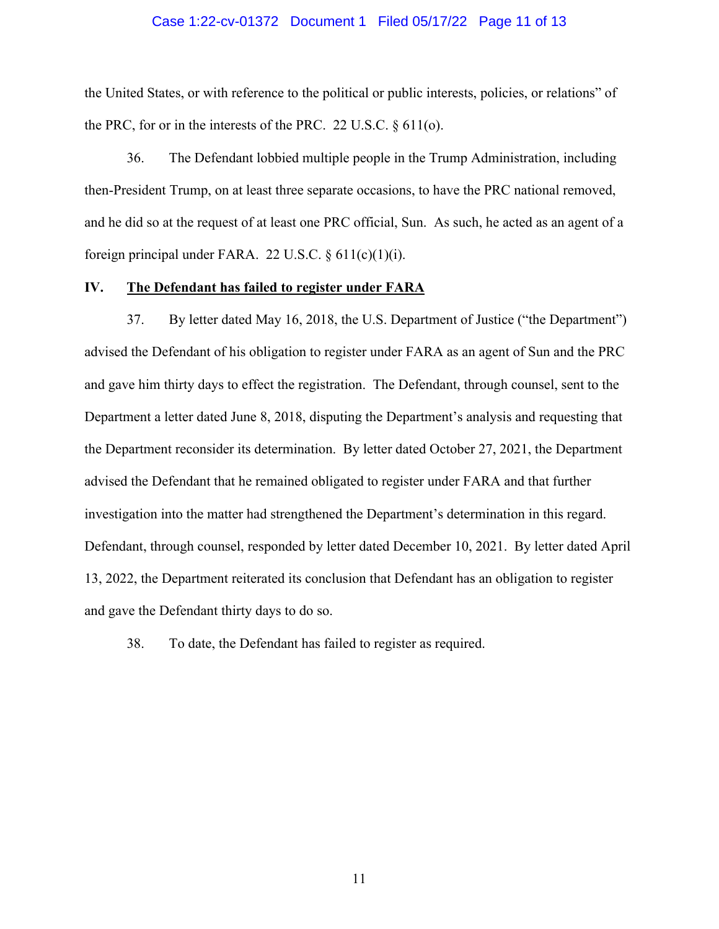#### Case 1:22-cv-01372 Document 1 Filed 05/17/22 Page 11 of 13

the United States, or with reference to the political or public interests, policies, or relations" of the PRC, for or in the interests of the PRC. 22 U.S.C.  $\S 611$ (o).

36. The Defendant lobbied multiple people in the Trump Administration, including then-President Trump, on at least three separate occasions, to have the PRC national removed, and he did so at the request of at least one PRC official, Sun. As such, he acted as an agent of a foreign principal under FARA. 22 U.S.C.  $\S 611(c)(1)(i)$ .

#### **IV. The Defendant has failed to register under FARA**

37. By letter dated May 16, 2018, the U.S. Department of Justice ("the Department") advised the Defendant of his obligation to register under FARA as an agent of Sun and the PRC and gave him thirty days to effect the registration. The Defendant, through counsel, sent to the Department a letter dated June 8, 2018, disputing the Department's analysis and requesting that the Department reconsider its determination. By letter dated October 27, 2021, the Department advised the Defendant that he remained obligated to register under FARA and that further investigation into the matter had strengthened the Department's determination in this regard. Defendant, through counsel, responded by letter dated December 10, 2021. By letter dated April 13, 2022, the Department reiterated its conclusion that Defendant has an obligation to register and gave the Defendant thirty days to do so.

38. To date, the Defendant has failed to register as required.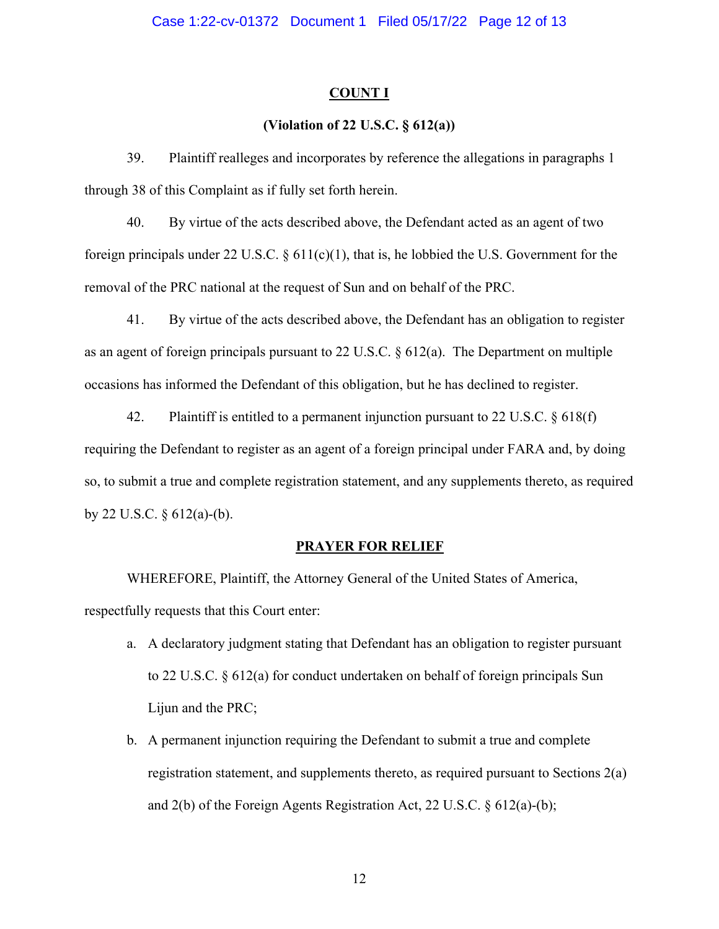### **COUNT I**

# **(Violation of 22 U.S.C. § 612(a))**

39. Plaintiff realleges and incorporates by reference the allegations in paragraphs 1 through 38 of this Complaint as if fully set forth herein.

40. By virtue of the acts described above, the Defendant acted as an agent of two foreign principals under 22 U.S.C.  $\S$  611(c)(1), that is, he lobbied the U.S. Government for the removal of the PRC national at the request of Sun and on behalf of the PRC.

41. By virtue of the acts described above, the Defendant has an obligation to register as an agent of foreign principals pursuant to 22 U.S.C. § 612(a). The Department on multiple occasions has informed the Defendant of this obligation, but he has declined to register.

42. Plaintiff is entitled to a permanent injunction pursuant to 22 U.S.C. § 618(f) requiring the Defendant to register as an agent of a foreign principal under FARA and, by doing so, to submit a true and complete registration statement, and any supplements thereto, as required by 22 U.S.C.  $\S$  612(a)-(b).

# **PRAYER FOR RELIEF**

 WHEREFORE, Plaintiff, the Attorney General of the United States of America, respectfully requests that this Court enter:

- a. A declaratory judgment stating that Defendant has an obligation to register pursuant to 22 U.S.C. § 612(a) for conduct undertaken on behalf of foreign principals Sun Lijun and the PRC;
- b. A permanent injunction requiring the Defendant to submit a true and complete registration statement, and supplements thereto, as required pursuant to Sections 2(a) and 2(b) of the Foreign Agents Registration Act, 22 U.S.C. § 612(a)-(b);